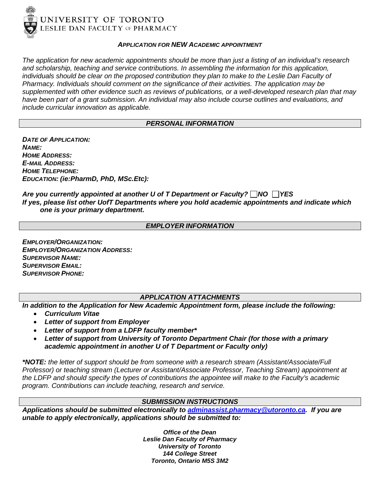

#### *APPLICATION FOR NEW ACADEMIC APPOINTMENT*

*The application for new academic appointments should be more than just a listing of an individual's research and scholarship, teaching and service contributions. In assembling the information for this application, individuals should be clear on the proposed contribution they plan to make to the Leslie Dan Faculty of Pharmacy. Individuals should comment on the significance of their activities. The application may be supplemented with other evidence such as reviews of publications, or a well-developed research plan that may have been part of a grant submission. An individual may also include course outlines and evaluations, and include curricular innovation as applicable.*

#### *PERSONAL INFORMATION*

*DATE OF APPLICATION: NAME: HOME ADDRESS: E-MAIL ADDRESS: HOME TELEPHONE: EDUCATION: (ie:PharmD, PhD, MSc.Etc):* 

### Are you currently appointed at another U of T Department or Faculty? NO **NES** *If yes, please list other UofT Departments where you hold academic appointments and indicate which one is your primary department.*

#### *EMPLOYER INFORMATION*

*EMPLOYER/ORGANIZATION: EMPLOYER/ORGANIZATION ADDRESS: SUPERVISOR NAME: SUPERVISOR EMAIL: SUPERVISOR PHONE:*

### *APPLICATION ATTACHMENTS*

*In addition to the Application for New Academic Appointment form, please include the following:*

- *Curriculum Vitae*
- *Letter of support from Employer*
- *Letter of support from a LDFP faculty member\**
- *Letter of support from University of Toronto Department Chair (for those with a primary academic appointment in another U of T Department or Faculty only)*

*\*NOTE: the letter of support should be from someone with a research stream (Assistant/Associate/Full Professor) or teaching stream (Lecturer or Assistant/Associate Professor, Teaching Stream) appointment at the LDFP and should specify the types of contributions the appointee will make to the Faculty's academic program. Contributions can include teaching, research and service.*

### *SUBMISSION INSTRUCTIONS*

*Applications should be submitted electronically to [adminassist.pharmacy@utoronto.ca.](mailto:adminassist.pharmacy@utoronto.ca) If you are unable to apply electronically, applications should be submitted to:*

> *Office of the Dean Leslie Dan Faculty of Pharmacy University of Toronto 144 College Street Toronto, Ontario M5S 3M2*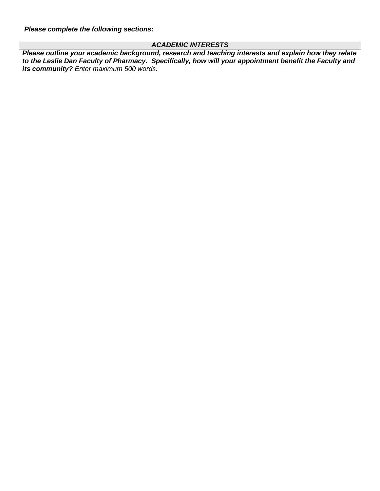*Please complete the following sections:*

## *ACADEMIC INTERESTS*

*Please outline your academic background, research and teaching interests and explain how they relate to the Leslie Dan Faculty of Pharmacy. Specifically, how will your appointment benefit the Faculty and its community? Enter maximum 500 words.*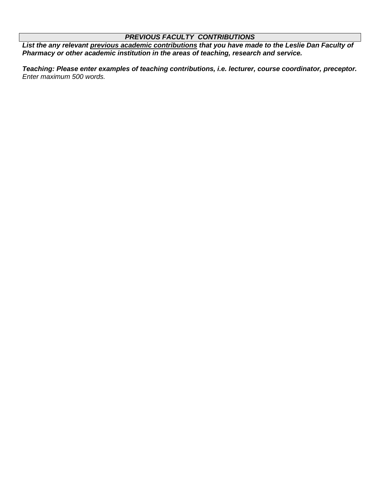## *PREVIOUS FACULTY CONTRIBUTIONS*

*List the any relevant previous academic contributions that you have made to the Leslie Dan Faculty of Pharmacy or other academic institution in the areas of teaching, research and service.*

*Teaching: Please enter examples of teaching contributions, i.e. lecturer, course coordinator, preceptor. Enter maximum 500 words.*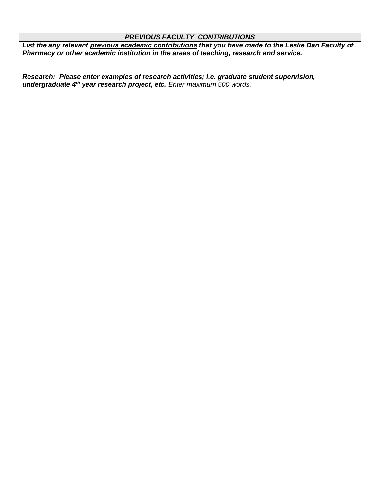### *PREVIOUS FACULTY CONTRIBUTIONS*

*List the any relevant previous academic contributions that you have made to the Leslie Dan Faculty of Pharmacy or other academic institution in the areas of teaching, research and service.*

*Research: Please enter examples of research activities; i.e. graduate student supervision, undergraduate 4th year research project, etc. Enter maximum 500 words.*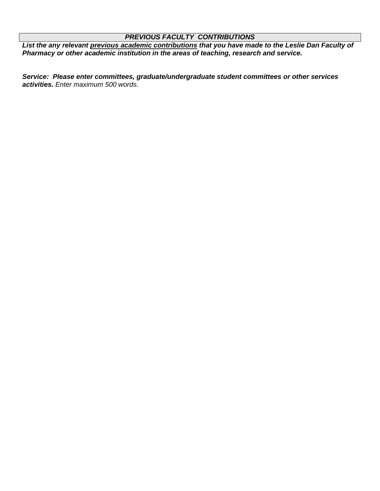## *PREVIOUS FACULTY CONTRIBUTIONS*

*List the any relevant previous academic contributions that you have made to the Leslie Dan Faculty of Pharmacy or other academic institution in the areas of teaching, research and service.*

*Service: Please enter committees, graduate/undergraduate student committees or other services activities. Enter maximum 500 words.*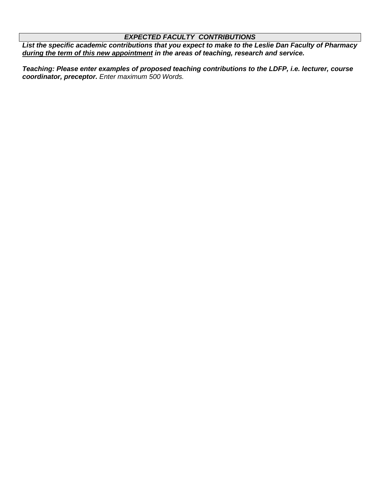# *EXPECTED FACULTY CONTRIBUTIONS*

*List the specific academic contributions that you expect to make to the Leslie Dan Faculty of Pharmacy during the term of this new appointment in the areas of teaching, research and service.*

*Teaching: Please enter examples of proposed teaching contributions to the LDFP, i.e. lecturer, course coordinator, preceptor. Enter maximum 500 Words.*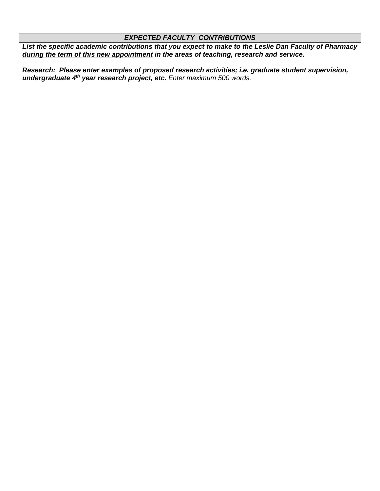# *EXPECTED FACULTY CONTRIBUTIONS*

*List the specific academic contributions that you expect to make to the Leslie Dan Faculty of Pharmacy during the term of this new appointment in the areas of teaching, research and service.*

*Research: Please enter examples of proposed research activities; i.e. graduate student supervision, undergraduate 4th year research project, etc. Enter maximum 500 words.*